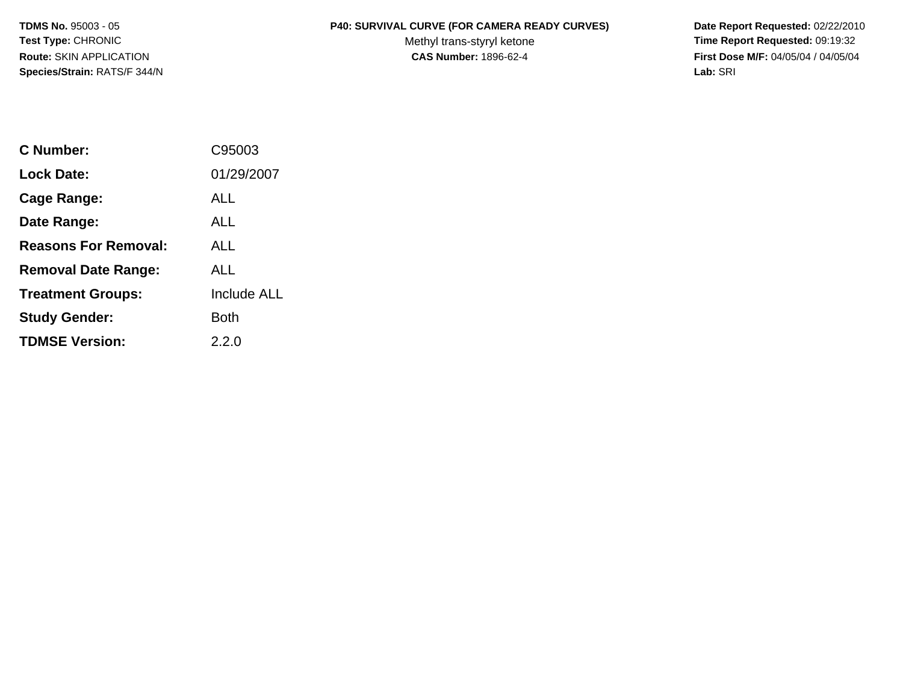**Species/Strain:** RATS/F 344/N **Lab:** SRI

## **TDMS No. 95003 - 05 P40: SURVIVAL CURVE (FOR CAMERA READY CURVES)** Date Report Requested: 02/22/2010

Test Type: CHRONIC **Test Type: CHRONIC** CHRONIC CHRONIC Methyl trans-styryl ketone **Time Report Requested:** 09:19:32 **Route:** SKIN APPLICATION **CAS Number:** 1896-62-4 **First Dose M/F:** 04/05/04 / 04/05/04

| C Number:                   | C95003             |
|-----------------------------|--------------------|
| Lock Date:                  | 01/29/2007         |
| Cage Range:                 | ALL                |
| Date Range:                 | ALL                |
| <b>Reasons For Removal:</b> | AI L               |
| <b>Removal Date Range:</b>  | ALL                |
| <b>Treatment Groups:</b>    | <b>Include ALL</b> |
| <b>Study Gender:</b>        | Both               |
| <b>TDMSE Version:</b>       | 2.2.0              |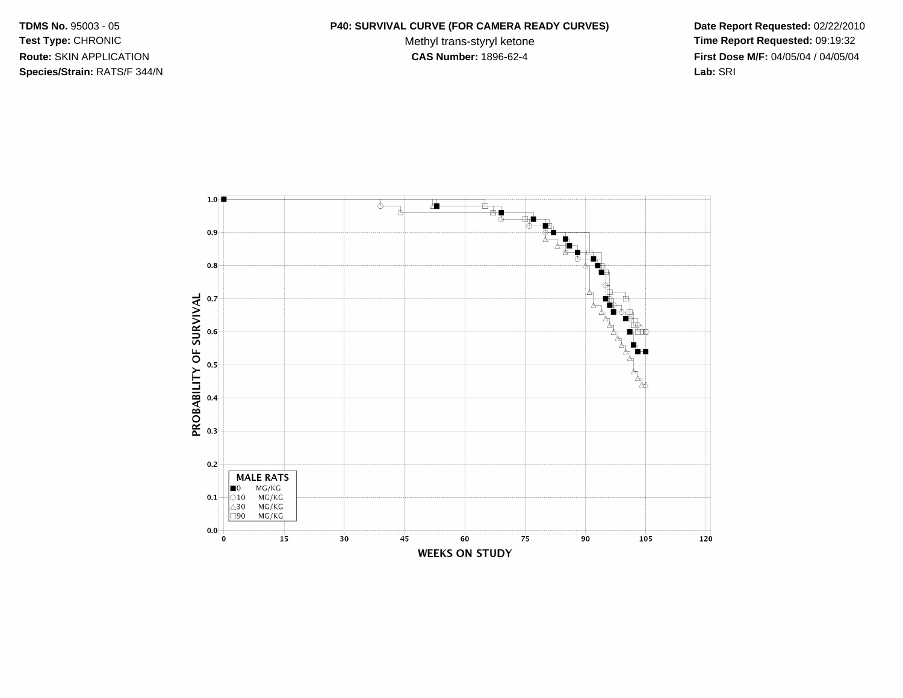**Species/Strain:** RATS/F 344/N **Lab:** SRI

## **TDMS No. 95003 - 05 P40: SURVIVAL CURVE (FOR CAMERA READY CURVES)** Date Report Requested: 02/22/2010 Test Type: CHRONIC **Test Type: CHRONIC Test Type: CHRONIC Methyl trans-styryl ketone Time Report Requested: 09:19:32**

**Route:** SKIN APPLICATION **CAS Number:** 1896-62-4 **First Dose M/F:** 04/05/04 / 04/05/04